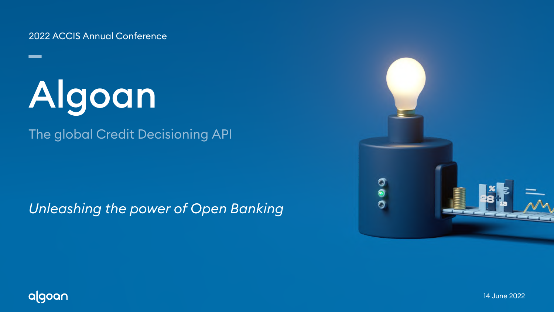14 June 2022



2022 ACCIS Annual Conference

## *Unleashing the power of Open Banking*



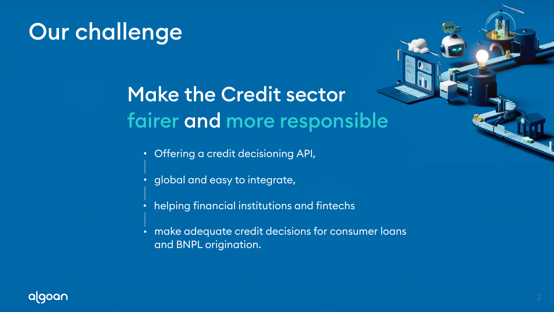## Our challenge

## Make the Credit sector fairer and more responsible

- Offering a credit decisioning API,  $\bullet^+$
- global and easy to integrate,
- helping financial institutions and fintechs
- make adequate credit decisions for consumer loans  $\bullet$ and BNPL origination.



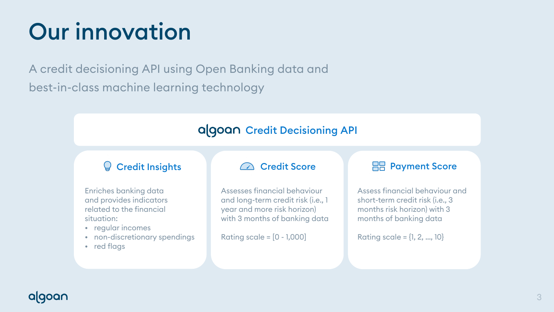# Our innovation

Enriches banking data and provides indicators related to the financial situation:

- regular incomes
- non-discretionary spendings
- red flags

Assesses financial behaviour and long-term credit risk (i.e., 1 year and more risk horizon) with 3 months of banking data

Rating scale = [0 - 1,000]

## algoar

### Credit Insights Credit Score Payment Score

Assess financial behaviour and short-term credit risk (i.e., 3 months risk horizon) with 3 months of banking data

Rating scale = {1, 2, …, 10}

A credit decisioning API using Open Banking data and best-in-class machine learning technology

### algoan Credit Decisioning API

### $\mathsf{Q}$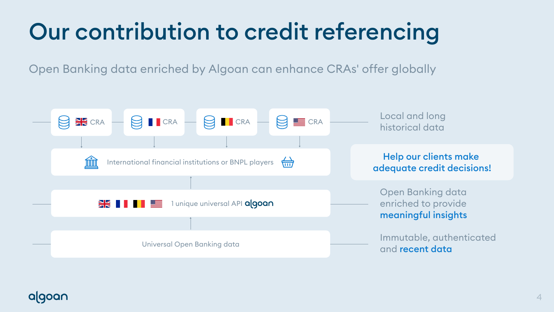# Our contribution to credit referencing

Open Banking data enriched by Algoan can enhance CRAs' offer globally





Local and long historical data

Open Banking data enriched to provide meaningful insights

Immutable, authenticated and recent data

Help our clients make adequate credit decisions!